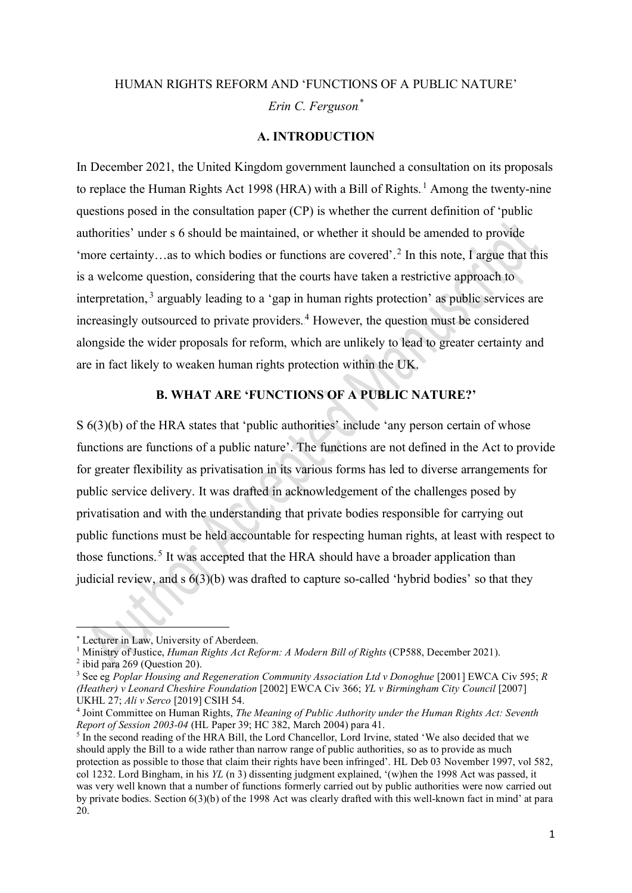# HUMAN RIGHTS REFORM AND 'FUNCTIONS OF A PUBLIC NATURE'  $Erin C.$  *Ferguson*.<sup>\*</sup>

### **A. INTRODUCTION**

In December 2021, the United Kingdom government launched a consultation on its proposals to replace the Human Rights Act 1998 (HRA) with a Bill of Rights.<sup>1</sup> Among the twenty-nine questions posed in the consultation paper (CP) is whether the current definition of 'public authorities' under s 6 should be maintained, or whether it should be amended to provide 'more certainty...as to which bodies or functions are covered'.<sup>2</sup> In this note, I argue that this is a welcome question, considering that the courts have taken a restrictive approach to interpretation,<sup>3</sup> arguably leading to a 'gap in human rights protection' as public services are increasingly outsourced to private providers.<sup>4</sup> However, the question must be considered alongside the wider proposals for reform, which are unlikely to lead to greater certainty and are in fact likely to weaken human rights protection within the UK.

## **B. WHAT ARE 'FUNCTIONS OF A PUBLIC NATURE?'**

S 6(3)(b) of the HRA states that 'public authorities' include 'any person certain of whose functions are functions of a public nature'. The functions are not defined in the Act to provide for greater flexibility as privatisation in its various forms has led to diverse arrangements for public service delivery. It was drafted in acknowledgement of the challenges posed by privatisation and with the understanding that private bodies responsible for carrying out public functions must be held accountable for respecting human rights, at least with respect to those functions.<sup>5</sup> It was accepted that the HRA should have a broader application than judicial review, and s 6(3)(b) was drafted to capture so-called 'hybrid bodies' so that they

<sup>∗</sup> Lecturer in Law, University of Aberdeen.

<sup>&</sup>lt;sup>1</sup> Ministry of Justice, *Human Rights Act Reform: A Modern Bill of Rights* (CP588, December 2021).

 $2$  ibid para 269 (Question 20).

<sup>3</sup> See eg *Poplar Housing and Regeneration Community Association Ltd v Donoghue* [2001] EWCA Civ 595; *R (Heather) v Leonard Cheshire Foundation* [2002] EWCA Civ 366; *YL v Birmingham City Council* [2007] UKHL 27; *Ali v Serco* [2019] CSIH 54.

<sup>4</sup> Joint Committee on Human Rights, *The Meaning of Public Authority under the Human Rights Act: Seventh Report of Session 2003-04* (HL Paper 39; HC 382, March 2004) para 41.

<sup>&</sup>lt;sup>5</sup> In the second reading of the HRA Bill, the Lord Chancellor, Lord Irvine, stated 'We also decided that we should apply the Bill to a wide rather than narrow range of public authorities, so as to provide as much protection as possible to those that claim their rights have been infringed'. HL Deb 03 November 1997, vol 582, col 1232. Lord Bingham, in his *YL* (n 3) dissenting judgment explained, '(w)hen the 1998 Act was passed, it was very well known that a number of functions formerly carried out by public authorities were now carried out by private bodies. Section 6(3)(b) of the 1998 Act was clearly drafted with this well-known fact in mind' at para 20.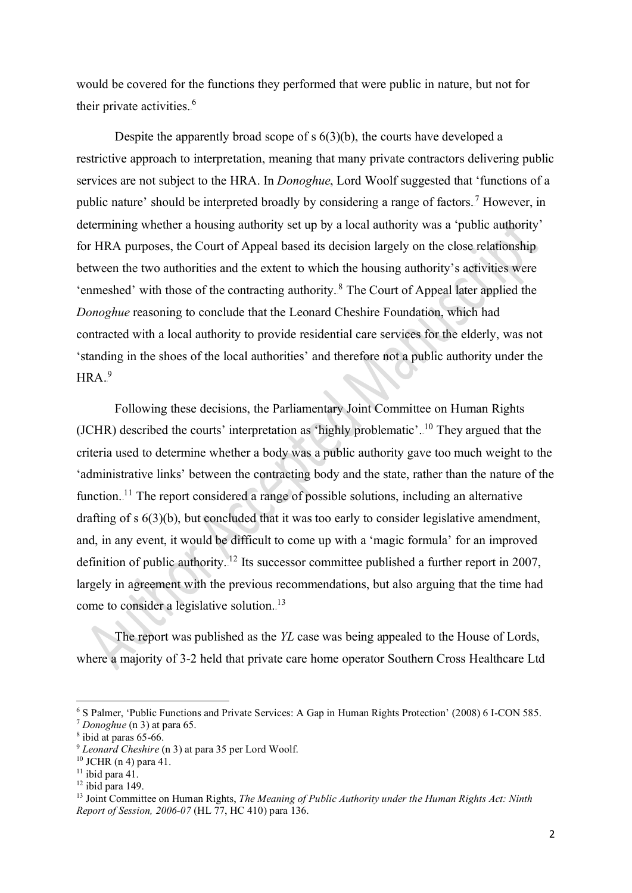would be covered for the functions they performed that were public in nature, but not for their private activities.<sup>6</sup>

Despite the apparently broad scope of s 6(3)(b), the courts have developed a restrictive approach to interpretation, meaning that many private contractors delivering public services are not subject to the HRA. In *Donoghue*, Lord Woolf suggested that 'functions of a public nature' should be interpreted broadly by considering a range of factors.<sup>7</sup> However, in determining whether a housing authority set up by a local authority was a 'public authority' for HRA purposes, the Court of Appeal based its decision largely on the close relationship between the two authorities and the extent to which the housing authority's activities were 'enmeshed' with those of the contracting authority.<sup>8</sup> The Court of Appeal later applied the *Donoghue* reasoning to conclude that the Leonard Cheshire Foundation, which had contracted with a local authority to provide residential care services for the elderly, was not 'standing in the shoes of the local authorities' and therefore not a public authority under the  $HRA.^9$ 

Following these decisions, the Parliamentary Joint Committee on Human Rights (JCHR) described the courts' interpretation as 'highly problematic'.<sup>10</sup> They argued that the criteria used to determine whether a body was a public authority gave too much weight to the 'administrative links' between the contracting body and the state, rather than the nature of the function.<sup>11</sup> The report considered a range of possible solutions, including an alternative drafting of s  $6(3)(b)$ , but concluded that it was too early to consider legislative amendment, and, in any event, it would be difficult to come up with a 'magic formula' for an improved definition of public authority.<sup>12</sup> Its successor committee published a further report in 2007, largely in agreement with the previous recommendations, but also arguing that the time had come to consider a legislative solution.<sup>13</sup>

The report was published as the *YL* case was being appealed to the House of Lords, where a majority of 3-2 held that private care home operator Southern Cross Healthcare Ltd

 $12$  ibid para 149.

<sup>6</sup> S Palmer, 'Public Functions and Private Services: A Gap in Human Rights Protection' (2008) 6 I-CON 585. <sup>7</sup> *Donoghue* (n 3) at para 65.

 $8$  ibid at paras 65-66.

<sup>9</sup> *Leonard Cheshire* (n 3) at para 35 per Lord Woolf.

<sup>10</sup> JCHR (n 4) para 41.

 $11$  ibid para 41.

<sup>&</sup>lt;sup>13</sup> Joint Committee on Human Rights, *The Meaning of Public Authority under the Human Rights Act: Ninth Report of Session, 2006-07* (HL 77, HC 410) para 136.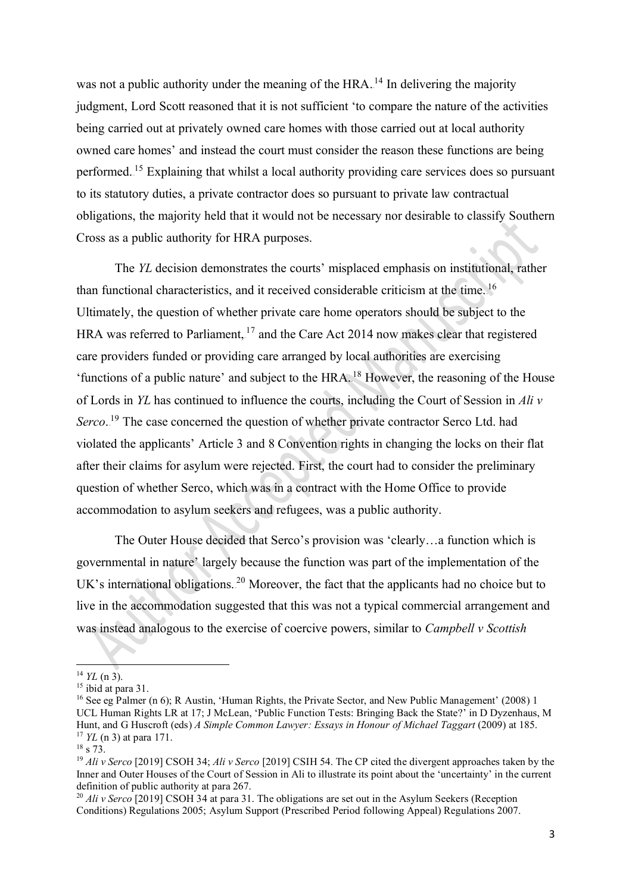was not a public authority under the meaning of the  $HRA$ .<sup>14</sup> In delivering the majority judgment, Lord Scott reasoned that it is not sufficient 'to compare the nature of the activities being carried out at privately owned care homes with those carried out at local authority owned care homes' and instead the court must consider the reason these functions are being performed.<sup>15</sup> Explaining that whilst a local authority providing care services does so pursuant to its statutory duties, a private contractor does so pursuant to private law contractual obligations, the majority held that it would not be necessary nor desirable to classify Southern Cross as a public authority for HRA purposes.

The *YL* decision demonstrates the courts' misplaced emphasis on institutional, rather than functional characteristics, and it received considerable criticism at the time.  $16$ Ultimately, the question of whether private care home operators should be subject to the HRA was referred to Parliament,  $17$  and the Care Act 2014 now makes clear that registered care providers funded or providing care arranged by local authorities are exercising 'functions of a public nature' and subject to the HRA.<sup>18</sup> However, the reasoning of the House of Lords in *YL* has continued to influence the courts, including the Court of Session in *Ali v*  Serco.<sup>19</sup> The case concerned the question of whether private contractor Serco Ltd. had violated the applicants' Article 3 and 8 Convention rights in changing the locks on their flat after their claims for asylum were rejected. First, the court had to consider the preliminary question of whether Serco, which was in a contract with the Home Office to provide accommodation to asylum seekers and refugees, was a public authority.

The Outer House decided that Serco's provision was 'clearly…a function which is governmental in nature' largely because the function was part of the implementation of the UK's international obligations.<sup>20</sup> Moreover, the fact that the applicants had no choice but to live in the accommodation suggested that this was not a typical commercial arrangement and was instead analogous to the exercise of coercive powers, similar to *Campbell v Scottish* 

 $14$  *YL* (n 3).

<sup>&</sup>lt;sup>15</sup> ibid at para 31.

<sup>&</sup>lt;sup>16</sup> See eg Palmer (n 6); R Austin, 'Human Rights, the Private Sector, and New Public Management' (2008) 1 UCL Human Rights LR at 17; J McLean, 'Public Function Tests: Bringing Back the State?' in D Dyzenhaus, M Hunt, and G Huscroft (eds) *A Simple Common Lawyer: Essays in Honour of Michael Taggart* (2009) at 185. <sup>17</sup> *YL* (n 3) at para 171.

<sup>18</sup> s 73.

<sup>19</sup> *Ali v Serco* [2019] CSOH 34; *Ali v Serco* [2019] CSIH 54. The CP cited the divergent approaches taken by the Inner and Outer Houses of the Court of Session in Ali to illustrate its point about the 'uncertainty' in the current definition of public authority at para 267.

<sup>&</sup>lt;sup>20</sup> *Ali v Serco* [2019] CSOH 34 at para 31. The obligations are set out in the Asylum Seekers (Reception Conditions) Regulations 2005; Asylum Support (Prescribed Period following Appeal) Regulations 2007.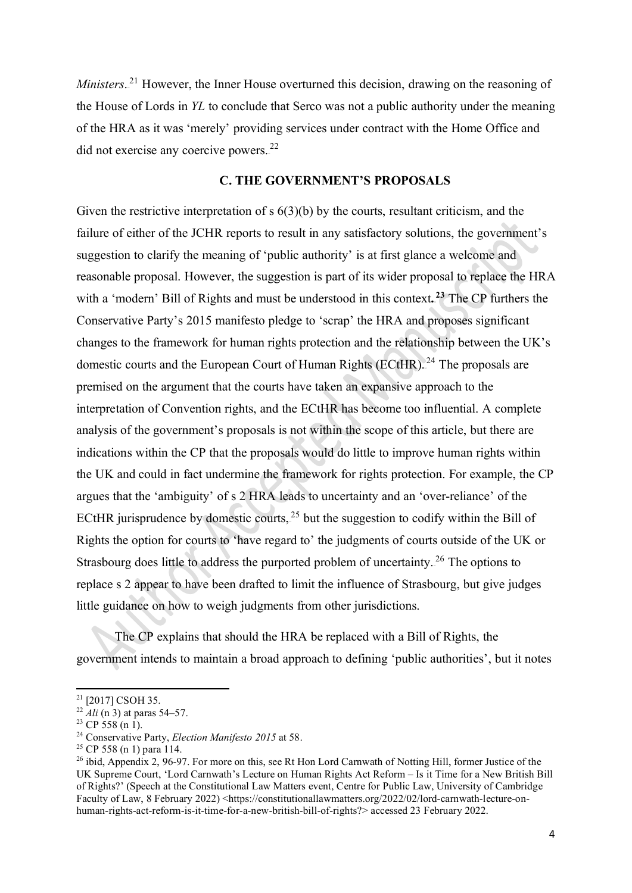*Ministers*.<sup>21</sup> However, the Inner House overturned this decision, drawing on the reasoning of the House of Lords in *YL* to conclude that Serco was not a public authority under the meaning of the HRA as it was 'merely' providing services under contract with the Home Office and did not exercise any coercive powers.<sup>22</sup>

### **C. THE GOVERNMENT'S PROPOSALS**

Given the restrictive interpretation of  $s$  6(3)(b) by the courts, resultant criticism, and the failure of either of the JCHR reports to result in any satisfactory solutions, the government's suggestion to clarify the meaning of 'public authority' is at first glance a welcome and reasonable proposal. However, the suggestion is part of its wider proposal to replace the HRA with a 'modern' Bill of Rights and must be understood in this context.<sup>23</sup> The CP furthers the Conservative Party's 2015 manifesto pledge to 'scrap' the HRA and proposes significant changes to the framework for human rights protection and the relationship between the UK's domestic courts and the European Court of Human Rights (ECtHR).<sup>24</sup> The proposals are premised on the argument that the courts have taken an expansive approach to the interpretation of Convention rights, and the ECtHR has become too influential. A complete analysis of the government's proposals is not within the scope of this article, but there are indications within the CP that the proposals would do little to improve human rights within the UK and could in fact undermine the framework for rights protection. For example, the CP argues that the 'ambiguity' of s 2 HRA leads to uncertainty and an 'over-reliance' of the ECtHR jurisprudence by domestic courts,  $2<sup>5</sup>$  but the suggestion to codify within the Bill of Rights the option for courts to 'have regard to' the judgments of courts outside of the UK or Strasbourg does little to address the purported problem of uncertainty.<sup>26</sup> The options to replace s 2 appear to have been drafted to limit the influence of Strasbourg, but give judges little guidance on how to weigh judgments from other jurisdictions.

The CP explains that should the HRA be replaced with a Bill of Rights, the government intends to maintain a broad approach to defining 'public authorities', but it notes

<sup>&</sup>lt;sup>21</sup> [2017] CSOH 35.

<sup>&</sup>lt;sup>22</sup> *Ali* (n 3) at paras 54–57.

 $23$  CP 558 (n 1).

<sup>&</sup>lt;sup>24</sup> Conservative Party, *Election Manifesto 2015* at 58.<br><sup>25</sup> CP 558 (n 1) para 114.

<sup>&</sup>lt;sup>26</sup> ibid, Appendix 2, 96-97. For more on this, see Rt Hon Lord Carnwath of Notting Hill, former Justice of the UK Supreme Court, 'Lord Carnwath's Lecture on Human Rights Act Reform – Is it Time for a New British Bill of Rights?' (Speech at the Constitutional Law Matters event, Centre for Public Law, University of Cambridge Faculty of Law, 8 February 2022) <https://constitutionallawmatters.org/2022/02/lord-carnwath-lecture-onhuman-rights-act-reform-is-it-time-for-a-new-british-bill-of-rights?> accessed 23 February 2022.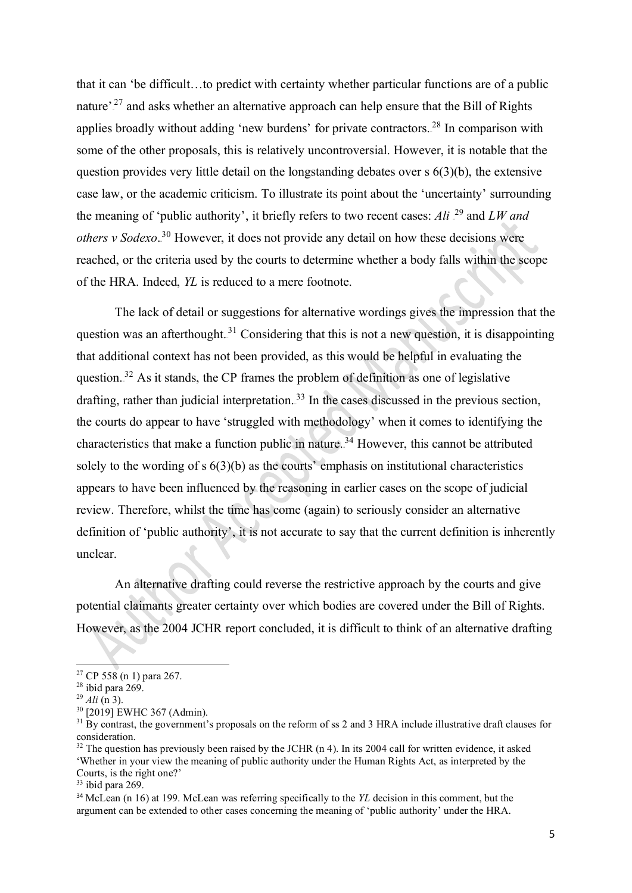that it can 'be difficult…to predict with certainty whether particular functions are of a public nature'.<sup>27</sup> and asks whether an alternative approach can help ensure that the Bill of Rights applies broadly without adding 'new burdens' for private contractors.<sup>28</sup> In comparison with some of the other proposals, this is relatively uncontroversial. However, it is notable that the question provides very little detail on the longstanding debates over s 6(3)(b), the extensive case law, or the academic criticism. To illustrate its point about the 'uncertainty' surrounding the meaning of 'public authority', it briefly refers to two recent cases: Ali <sup>29</sup> and *LW and* others v Sodexo.<sup>30</sup> However, it does not provide any detail on how these decisions were reached, or the criteria used by the courts to determine whether a body falls within the scope of the HRA. Indeed, *YL* is reduced to a mere footnote.

The lack of detail or suggestions for alternative wordings gives the impression that the question was an afterthought.<sup>31</sup> Considering that this is not a new question, it is disappointing that additional context has not been provided, as this would be helpful in evaluating the question.<sup>32</sup> As it stands, the CP frames the problem of definition as one of legislative drafting, rather than judicial interpretation.<sup>33</sup> In the cases discussed in the previous section, the courts do appear to have 'struggled with methodology' when it comes to identifying the characteristics that make a function public in nature.<sup>34</sup> However, this cannot be attributed solely to the wording of  $s$  6(3)(b) as the courts' emphasis on institutional characteristics appears to have been influenced by the reasoning in earlier cases on the scope of judicial review. Therefore, whilst the time has come (again) to seriously consider an alternative definition of 'public authority', it is not accurate to say that the current definition is inherently unclear.

An alternative drafting could reverse the restrictive approach by the courts and give potential claimants greater certainty over which bodies are covered under the Bill of Rights. However, as the 2004 JCHR report concluded, it is difficult to think of an alternative drafting

 $33$  ibid para 269.

<sup>&</sup>lt;sup>27</sup> CP 558 (n 1) para 267.

<sup>28</sup> ibid para 269.

<sup>29</sup> *Ali* (n 3).

<sup>30</sup> [2019] EWHC 367 (Admin).

 $31$  By contrast, the government's proposals on the reform of ss 2 and 3 HRA include illustrative draft clauses for consideration.

 $32$  The question has previously been raised by the JCHR (n 4). In its 2004 call for written evidence, it asked 'Whether in your view the meaning of public authority under the Human Rights Act, as interpreted by the Courts, is the right one?'

<sup>34</sup> McLean (n 16) at 199. McLean was referring specifically to the *YL* decision in this comment, but the argument can be extended to other cases concerning the meaning of 'public authority' under the HRA.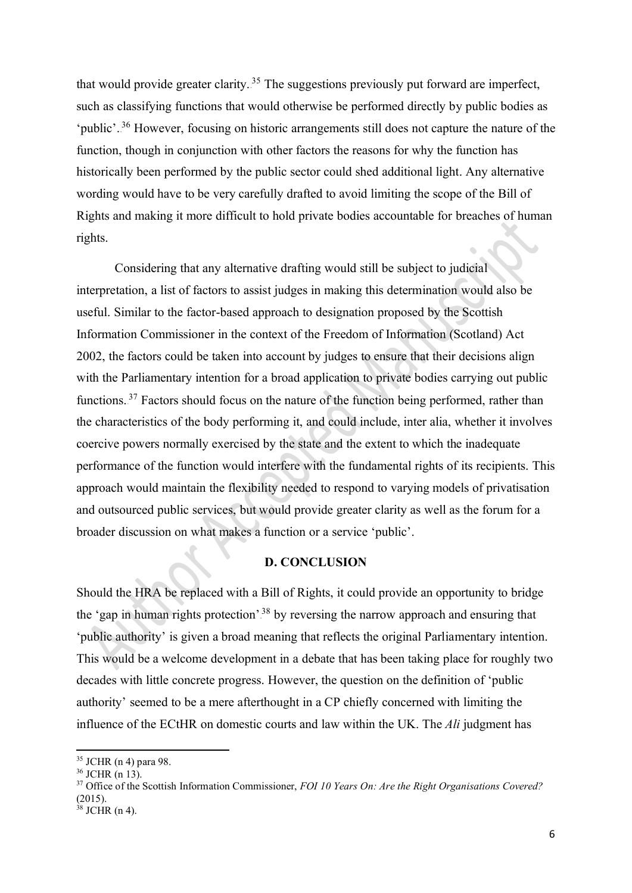that would provide greater clarity.<sup>35</sup> The suggestions previously put forward are imperfect, such as classifying functions that would otherwise be performed directly by public bodies as 'public'.<sup>36</sup> However, focusing on historic arrangements still does not capture the nature of the function, though in conjunction with other factors the reasons for why the function has historically been performed by the public sector could shed additional light. Any alternative wording would have to be very carefully drafted to avoid limiting the scope of the Bill of Rights and making it more difficult to hold private bodies accountable for breaches of human rights.

Considering that any alternative drafting would still be subject to judicial interpretation, a list of factors to assist judges in making this determination would also be useful. Similar to the factor-based approach to designation proposed by the Scottish Information Commissioner in the context of the Freedom of Information (Scotland) Act 2002, the factors could be taken into account by judges to ensure that their decisions align with the Parliamentary intention for a broad application to private bodies carrying out public functions.<sup>37</sup> Factors should focus on the nature of the function being performed, rather than the characteristics of the body performing it, and could include, inter alia, whether it involves coercive powers normally exercised by the state and the extent to which the inadequate performance of the function would interfere with the fundamental rights of its recipients. This approach would maintain the flexibility needed to respond to varying models of privatisation and outsourced public services, but would provide greater clarity as well as the forum for a broader discussion on what makes a function or a service 'public'.

### **D. CONCLUSION**

Should the HRA be replaced with a Bill of Rights, it could provide an opportunity to bridge the 'gap in human rights protection'.<sup>38</sup> by reversing the narrow approach and ensuring that 'public authority' is given a broad meaning that reflects the original Parliamentary intention. This would be a welcome development in a debate that has been taking place for roughly two decades with little concrete progress. However, the question on the definition of 'public authority' seemed to be a mere afterthought in a CP chiefly concerned with limiting the influence of the ECtHR on domestic courts and law within the UK. The *Ali* judgment has

<sup>35</sup> JCHR (n 4) para 98.

<sup>36</sup> JCHR (n 13).

<sup>37</sup> Office of the Scottish Information Commissioner, *FOI 10 Years On: Are the Right Organisations Covered?*  $(2015).$ 

 $3$  JCHR (n 4).